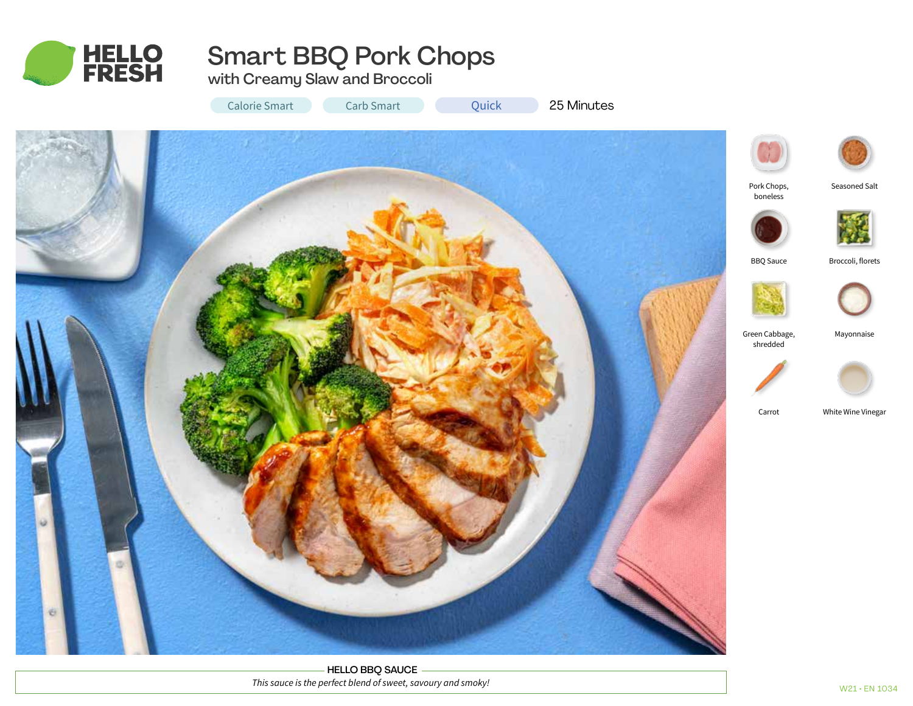

# Smart BBQ Pork Chops

with Creamy Slaw and Broccoli

Calorie Smart Carb Smart Carb Cuick 25 Minutes

Quick



HELLO BBQ SAUCE *This sauce is the perfect blend of sweet, savoury and smoky!*